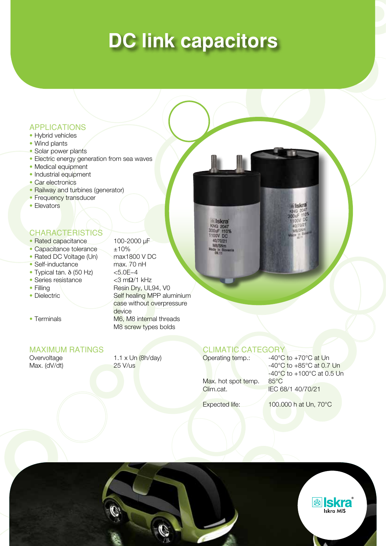# **DC link capacitors**

#### APPLICATIONS

- Hybrid vehicles
- Wind plants
- Solar power plants
- Electric energy generation from sea waves
- Medical equipment
- Industrial equipment
- Car electronics
- Railway and turbines (generator)
- Frequency transducer
- Elevators

### **CHARACTERISTICS**

- Rated capacitance 100-2000 μF
- Capacitance tolerance  $\qquad$  ±10%
- 
- 
- 
- Series resistance<br>• Filling
- 
- 

• Rated DC Voltage (Un) max1800 V DC • Self-inductance max. 70 nH • Typical tan.  $\delta$  (50 Hz) <5.0E−4<br>• Series resistance <3 mΩ/1 kHz Resin Dry, UL94, V0 • Dielectric Self healing MPP aluminium case without overpressure device • Terminals M6, M8 internal threads M8 screw types bolds

### MAXIMUM RATINGS

Overvoltage 1.1 x Un (8h/day) Max.  $(dV/dt)$  25 V/us

#### CLIMATIC CATEGORY Operating temp.: 40°C to +70°C at Un

Max. hot spot temp. 85°C Clim.cat. **IEC 68/1 40/70/21** 

 -40°C to +85°C at 0.7 Un -40°C to +100°C at 0.5 Un

Iskra

Iskr

Expected life: 100.000 h at Un, 70°C